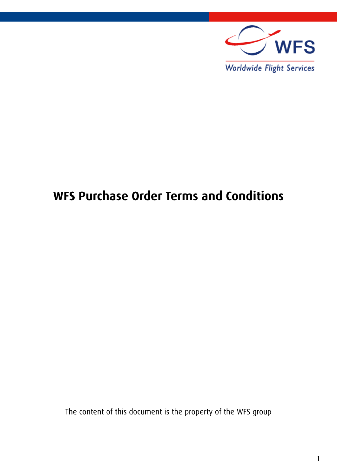

## **WFS Purchase Order Terms and Conditions**

The content of this document is the property of the WFS group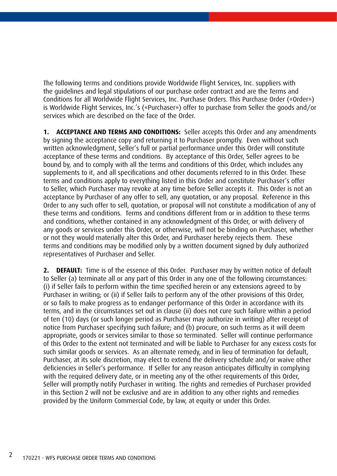The following terms and conditions provide Worldwide Flight Services, Inc. suppliers with the guidelines and legal stipulations of our purchase order contract and are the Terms and Conditions for all Worldwide Flight Services, Inc. Purchase Orders. This Purchase Order («Order») is Worldwide Flight Services, Inc.'s («Purchaser») offer to purchase from Seller the goods and/or services which are described on the face of the Order.

**1. ACCEPTANCE AND TERMS AND CONDITIONS:** Seller accepts this Order and any amendments by signing the acceptance copy and returning it to Purchaser promptly. Even without such written acknowledgment, Seller's full or partial performance under this Order will constitute acceptance of these terms and conditions. By acceptance of this Order, Seller agrees to be bound by, and to comply with all the terms and conditions of this Order, which includes any supplements to it, and all specifications and other documents referred to in this Order. These terms and conditions apply to everything listed in this Order and constitute Purchaser's offer to Seller, which Purchaser may revoke at any time before Seller accepts it. This Order is not an acceptance by Purchaser of any offer to sell, any quotation, or any proposal. Reference in this Order to any such offer to sell, quotation, or proposal will not constitute a modification of any of these terms and conditions. Terms and conditions different from or in addition to these terms and conditions, whether contained in any acknowledgment of this Order, or with delivery of any goods or services under this Order, or otherwise, will not be binding on Purchaser, whether or not they would materially alter this Order, and Purchaser hereby rejects them. These terms and conditions may be modified only by a written document signed by duly authorized representatives of Purchaser and Seller.

**2. DEFAULT:** Time is of the essence of this Order. Purchaser may by written notice of default to Seller (a) terminate all or any part of this Order in any one of the following circumstances: (i) if Seller fails to perform within the time specified herein or any extensions agreed to by Purchaser in writing; or (ii) if Seller fails to perform any of the other provisions of this Order, or so fails to make progress as to endanger performance of this Order in accordance with its terms, and in the circumstances set out in clause (ii) does not cure such failure within a period of ten (10) days (or such longer period as Purchaser may authorize in writing) after receipt of notice from Purchaser specifying such failure; and (b) procure, on such terms as it will deem appropriate, goods or services similar to those so terminated. Seller will continue performance of this Order to the extent not terminated and will be liable to Purchaser for any excess costs for such similar goods or services. As an alternate remedy, and in lieu of termination for default, Purchaser, at its sole discretion, may elect to extend the delivery schedule and/or waive other deficiencies in Seller's performance. If Seller for any reason anticipates difficulty in complying with the required delivery date, or in meeting any of the other requirements of this Order, Seller will promptly notify Purchaser in writing. The rights and remedies of Purchaser provided in this Section 2 will not be exclusive and are in addition to any other rights and remedies provided by the Uniform Commercial Code, by law, at equity or under this Order.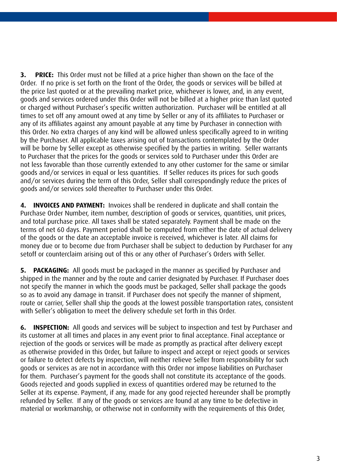**3. PRICE:** This Order must not be filled at a price higher than shown on the face of the Order. If no price is set forth on the front of the Order, the goods or services will be billed at the price last quoted or at the prevailing market price, whichever is lower, and, in any event, goods and services ordered under this Order will not be billed at a higher price than last quoted or charged without Purchaser's specific written authorization. Purchaser will be entitled at all times to set off any amount owed at any time by Seller or any of its affiliates to Purchaser or any of its affiliates against any amount payable at any time by Purchaser in connection with this Order. No extra charges of any kind will be allowed unless specifically agreed to in writing by the Purchaser. All applicable taxes arising out of transactions contemplated by the Order will be borne by Seller except as otherwise specified by the parties in writing. Seller warrants to Purchaser that the prices for the goods or services sold to Purchaser under this Order are not less favorable than those currently extended to any other customer for the same or similar goods and/or services in equal or less quantities. If Seller reduces its prices for such goods and/or services during the term of this Order, Seller shall correspondingly reduce the prices of goods and/or services sold thereafter to Purchaser under this Order.

**4. INVOICES AND PAYMENT:** Invoices shall be rendered in duplicate and shall contain the Purchase Order Number, item number, description of goods or services, quantities, unit prices, and total purchase price. All taxes shall be stated separately. Payment shall be made on the terms of net 60 days. Payment period shall be computed from either the date of actual delivery of the goods or the date an acceptable invoice is received, whichever is later. All claims for money due or to become due from Purchaser shall be subject to deduction by Purchaser for any setoff or counterclaim arising out of this or any other of Purchaser's Orders with Seller.

**5. PACKAGING:** All goods must be packaged in the manner as specified by Purchaser and shipped in the manner and by the route and carrier designated by Purchaser. If Purchaser does not specify the manner in which the goods must be packaged, Seller shall package the goods so as to avoid any damage in transit. If Purchaser does not specify the manner of shipment, route or carrier, Seller shall ship the goods at the lowest possible transportation rates, consistent with Seller's obligation to meet the delivery schedule set forth in this Order.

**6. INSPECTION:** All goods and services will be subject to inspection and test by Purchaser and its customer at all times and places in any event prior to final acceptance. Final acceptance or rejection of the goods or services will be made as promptly as practical after delivery except as otherwise provided in this Order, but failure to inspect and accept or reject goods or services or failure to detect defects by inspection, will neither relieve Seller from responsibility for such goods or services as are not in accordance with this Order nor impose liabilities on Purchaser for them. Purchaser's payment for the goods shall not constitute its acceptance of the goods. Goods rejected and goods supplied in excess of quantities ordered may be returned to the Seller at its expense. Payment, if any, made for any good rejected hereunder shall be promptly refunded by Seller. If any of the goods or services are found at any time to be defective in material or workmanship, or otherwise not in conformity with the requirements of this Order,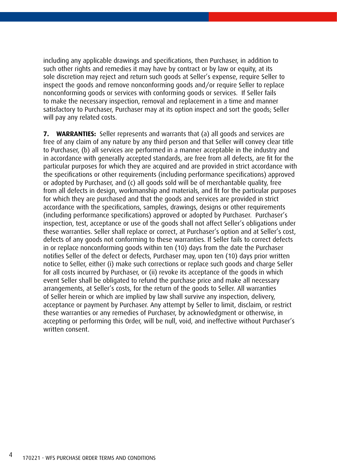including any applicable drawings and specifications, then Purchaser, in addition to such other rights and remedies it may have by contract or by law or equity, at its sole discretion may reject and return such goods at Seller's expense, require Seller to inspect the goods and remove nonconforming goods and/or require Seller to replace nonconforming goods or services with conforming goods or services. If Seller fails to make the necessary inspection, removal and replacement in a time and manner satisfactory to Purchaser, Purchaser may at its option inspect and sort the goods; Seller will pay any related costs.

**7. WARRANTIES:** Seller represents and warrants that (a) all goods and services are free of any claim of any nature by any third person and that Seller will convey clear title to Purchaser, (b) all services are performed in a manner acceptable in the industry and in accordance with generally accepted standards, are free from all defects, are fit for the particular purposes for which they are acquired and are provided in strict accordance with the specifications or other requirements (including performance specifications) approved or adopted by Purchaser, and (c) all goods sold will be of merchantable quality, free from all defects in design, workmanship and materials, and fit for the particular purposes for which they are purchased and that the goods and services are provided in strict accordance with the specifications, samples, drawings, designs or other requirements (including performance specifications) approved or adopted by Purchaser. Purchaser's inspection, test, acceptance or use of the goods shall not affect Seller's obligations under these warranties. Seller shall replace or correct, at Purchaser's option and at Seller's cost, defects of any goods not conforming to these warranties. If Seller fails to correct defects in or replace nonconforming goods within ten (10) days from the date the Purchaser notifies Seller of the defect or defects, Purchaser may, upon ten (10) days prior written notice to Seller, either (i) make such corrections or replace such goods and charge Seller for all costs incurred by Purchaser, or (ii) revoke its acceptance of the goods in which event Seller shall be obligated to refund the purchase price and make all necessary arrangements, at Seller's costs, for the return of the goods to Seller. All warranties of Seller herein or which are implied by law shall survive any inspection, delivery, acceptance or payment by Purchaser. Any attempt by Seller to limit, disclaim, or restrict these warranties or any remedies of Purchaser, by acknowledgment or otherwise, in accepting or performing this Order, will be null, void, and ineffective without Purchaser's written consent.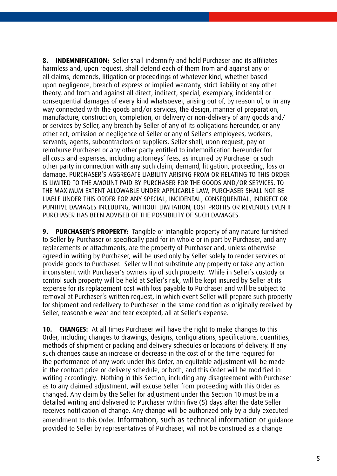**8. INDEMNIFICATION:** Seller shall indemnify and hold Purchaser and its affiliates harmless and, upon request, shall defend each of them from and against any or all claims, demands, litigation or proceedings of whatever kind, whether based upon negligence, breach of express or implied warranty, strict liability or any other theory, and from and against all direct, indirect, special, exemplary, incidental or consequential damages of every kind whatsoever, arising out of, by reason of, or in any way connected with the goods and/or services, the design, manner of preparation, manufacture, construction, completion, or delivery or non-delivery of any goods and/ or services by Seller, any breach by Seller of any of its obligations hereunder, or any other act, omission or negligence of Seller or any of Seller's employees, workers, servants, agents, subcontractors or suppliers. Seller shall, upon request, pay or reimburse Purchaser or any other party entitled to indemnification hereunder for all costs and expenses, including attorneys' fees, as incurred by Purchaser or such other party in connection with any such claim, demand, litigation, proceeding, loss or damage. PURCHASER'S AGGREGATE LIABILITY ARISING FROM OR RELATING TO THIS ORDER IS LIMITED TO THE AMOUNT PAID BY PURCHASER FOR THE GOODS AND/OR SERVICES. TO THE MAXIMUM EXTENT ALLOWABLE UNDER APPLICABLE LAW, PURCHASER SHALL NOT BE LIABLE UNDER THIS ORDER FOR ANY SPECIAL, INCIDENTAL, CONSEQUENTIAL, INDIRECT OR PUNITIVE DAMAGES INCLUDING, WITHOUT LIMITATION, LOST PROFITS OR REVENUES EVEN IF PURCHASER HAS BEEN ADVISED OF THE POSSIBILITY OF SUCH DAMAGES.

**9. PURCHASER'S PROPERTY:** Tangible or intangible property of any nature furnished to Seller by Purchaser or specifically paid for in whole or in part by Purchaser, and any replacements or attachments, are the property of Purchaser and, unless otherwise agreed in writing by Purchaser, will be used only by Seller solely to render services or provide goods to Purchaser. Seller will not substitute any property or take any action inconsistent with Purchaser's ownership of such property. While in Seller's custody or control such property will be held at Seller's risk, will be kept insured by Seller at its expense for its replacement cost with loss payable to Purchaser and will be subject to removal at Purchaser's written request, in which event Seller will prepare such property for shipment and redelivery to Purchaser in the same condition as originally received by Seller, reasonable wear and tear excepted, all at Seller's expense.

**10. CHANGES:** At all times Purchaser will have the right to make changes to this Order, including changes to drawings, designs, configurations, specifications, quantities, methods of shipment or packing and delivery schedules or locations of delivery. If any such changes cause an increase or decrease in the cost of or the time required for the performance of any work under this Order, an equitable adjustment will be made in the contract price or delivery schedule, or both, and this Order will be modified in writing accordingly. Nothing in this Section, including any disagreement with Purchaser as to any claimed adjustment, will excuse Seller from proceeding with this Order as changed. Any claim by the Seller for adjustment under this Section 10 must be in a detailed writing and delivered to Purchaser within five (5) days after the date Seller receives notification of change. Any change will be authorized only by a duly executed amendment to this Order. Information, such as technical information or guidance provided to Seller by representatives of Purchaser, will not be construed as a change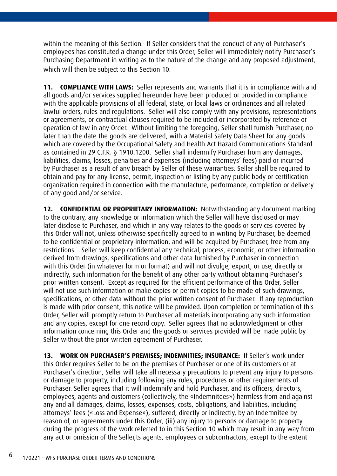within the meaning of this Section. If Seller considers that the conduct of any of Purchaser's employees has constituted a change under this Order, Seller will immediately notify Purchaser's Purchasing Department in writing as to the nature of the change and any proposed adjustment, which will then be subject to this Section 10.

**COMPLIANCE WITH LAWS:** Seller represents and warrants that it is in compliance with and all goods and/or services supplied hereunder have been produced or provided in compliance with the applicable provisions of all federal, state, or local laws or ordinances and all related lawful orders, rules and regulations. Seller will also comply with any provisions, representations or agreements, or contractual clauses required to be included or incorporated by reference or operation of law in any Order. Without limiting the foregoing, Seller shall furnish Purchaser, no later than the date the goods are delivered, with a Material Safety Data Sheet for any goods which are covered by the Occupational Safety and Health Act Hazard Communications Standard as contained in 29 C.F.R. § 1910.1200. Seller shall indemnify Purchaser from any damages, liabilities, claims, losses, penalties and expenses (including attorneys' fees) paid or incurred by Purchaser as a result of any breach by Seller of these warranties. Seller shall be required to obtain and pay for any license, permit, inspection or listing by any public body or certification organization required in connection with the manufacture, performance, completion or delivery of any good and/or service.

**12. CONFIDENTIAL OR PROPRIETARY INFORMATION:** Notwithstanding any document marking to the contrary, any knowledge or information which the Seller will have disclosed or may later disclose to Purchaser, and which in any way relates to the goods or services covered by this Order will not, unless otherwise specifically agreed to in writing by Purchaser, be deemed to be confidential or proprietary information, and will be acquired by Purchaser, free from any restrictions. Seller will keep confidential any technical, process, economic, or other information derived from drawings, specifications and other data furnished by Purchaser in connection with this Order (in whatever form or format) and will not divulge, export, or use, directly or indirectly, such information for the benefit of any other party without obtaining Purchaser's prior written consent. Except as required for the efficient performance of this Order, Seller will not use such information or make copies or permit copies to be made of such drawings, specifications, or other data without the prior written consent of Purchaser. If any reproduction is made with prior consent, this notice will be provided. Upon completion or termination of this Order, Seller will promptly return to Purchaser all materials incorporating any such information and any copies, except for one record copy. Seller agrees that no acknowledgment or other information concerning this Order and the goods or services provided will be made public by Seller without the prior written agreement of Purchaser.

**13. WORK ON PURCHASER'S PREMISES; INDEMNITIES; INSURANCE:** If Seller's work under this Order requires Seller to be on the premises of Purchaser or one of its customers or at Purchaser's direction, Seller will take all necessary precautions to prevent any injury to persons or damage to property, including following any rules, procedures or other requirements of Purchaser. Seller agrees that it will indemnify and hold Purchaser, and its officers, directors, employees, agents and customers (collectively, the «Indemnitees») harmless from and against any and all damages, claims, losses, expenses, costs, obligations, and liabilities, including attorneys' fees («Loss and Expense»), suffered, directly or indirectly, by an Indemnitee by reason of, or agreements under this Order, (iii) any injury to persons or damage to property during the progress of the work referred to in this Section 10 which may result in any way from any act or omission of the Seller,ts agents, employees or subcontractors, except to the extent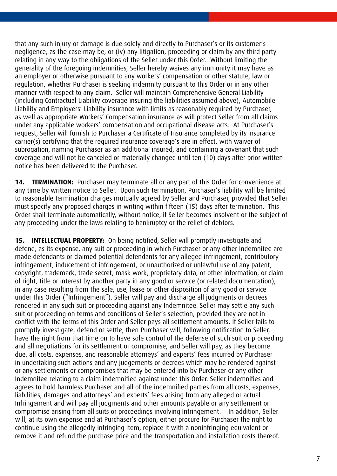that any such injury or damage is due solely and directly to Purchaser's or its customer's negligence, as the case may be, or (iv) any litigation, proceeding or claim by any third party relating in any way to the obligations of the Seller under this Order. Without limiting the generality of the foregoing indemnities, Seller hereby waives any immunity it may have as an employer or otherwise pursuant to any workers' compensation or other statute, law or regulation, whether Purchaser is seeking indemnity pursuant to this Order or in any other manner with respect to any claim. Seller will maintain Comprehensive General Liability (including Contractual Liability coverage insuring the liabilities assumed above), Automobile Liability and Employers' Liability insurance with limits as reasonably required by Purchaser, as well as appropriate Workers' Compensation insurance as will protect Seller from all claims under any applicable workers' compensation and occupational disease acts. At Purchaser's request, Seller will furnish to Purchaser a Certificate of Insurance completed by its insurance carrier(s) certifying that the required insurance coverage's are in effect, with waiver of subrogation, naming Purchaser as an additional insured, and containing a covenant that such coverage and will not be canceled or materially changed until ten (10) days after prior written notice has been delivered to the Purchaser.

**14. TERMINATION:** Purchaser may terminate all or any part of this Order for convenience at any time by written notice to Seller. Upon such termination, Purchaser's liability will be limited to reasonable termination charges mutually agreed by Seller and Purchaser, provided that Seller must specify any proposed charges in writing within fifteen (15) days after termination. This Order shall terminate automatically, without notice, if Seller becomes insolvent or the subject of any proceeding under the laws relating to bankruptcy or the relief of debtors.

**15. INTELLECTUAL PROPERTY:** On being notified, Seller will promptly investigate and defend, as its expense, any suit or proceeding in which Purchaser or any other Indemnitee are made defendants or claimed potential defendants for any alleged infringement, contributory infringement, inducement of infringement, or unauthorized or unlawful use of any patent, copyright, trademark, trade secret, mask work, proprietary data, or other information, or claim of right, title or interest by another party in any good or service (or related documentation), in any case resulting from the sale, use, lease or other disposition of any good or service under this Order ("Infringement"). Seller will pay and discharge all judgments or decrees rendered in any such suit or proceeding against any Indemnitee. Seller may settle any such suit or proceeding on terms and conditions of Seller's selection, provided they are not in conflict with the terms of this Order and Seller pays all settlement amounts. If Seller fails to promptly investigate, defend or settle, then Purchaser will, following notification to Seller, have the right from that time on to have sole control of the defense of such suit or proceeding and all negotiations for its settlement or compromise, and Seller will pay, as they become due, all costs, expenses, and reasonable attorneys' and experts' fees incurred by Purchaser in undertaking such actions and any judgements or decrees which may be rendered against or any settlements or compromises that may be entered into by Purchaser or any other Indemnitee relating to a claim indemnified against under this Order. Seller indemnifies and agrees to hold harmless Purchaser and all of the indemnified parties from all costs, expenses, liabilities, damages and attorneys' and experts' fees arising from any alleged or actual Infringement and will pay all judgments and other amounts payable or any settlement or compromise arising from all suits or proceedings involving Infringement. In addition, Seller will, at its own expense and at Purchaser's option, either procure for Purchaser the right to continue using the allegedly infringing item, replace it with a noninfringing equivalent or remove it and refund the purchase price and the transportation and installation costs thereof.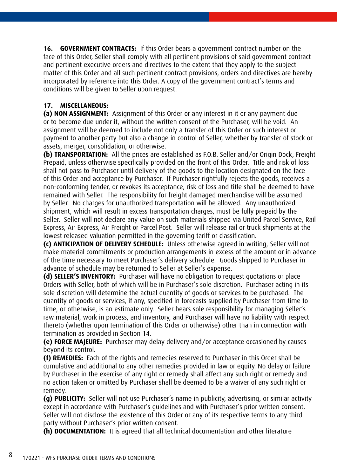**16. GOVERNMENT CONTRACTS:** If this Order bears a government contract number on the face of this Order, Seller shall comply with all pertinent provisions of said government contract and pertinent executive orders and directives to the extent that they apply to the subject matter of this Order and all such pertinent contract provisions, orders and directives are hereby incorporated by reference into this Order. A copy of the government contract's terms and conditions will be given to Seller upon request.

## **17. MISCELLANEOUS:**

**(a) NON ASSIGNMENT:** Assignment of this Order or any interest in it or any payment due or to become due under it, without the written consent of the Purchaser, will be void. An assignment will be deemed to include not only a transfer of this Order or such interest or payment to another party but also a change in control of Seller, whether by transfer of stock or assets, merger, consolidation, or otherwise.

**(b) TRANSPORTATION:** All the prices are established as F.O.B. Seller and/or Origin Dock, Freight Prepaid, unless otherwise specifically provided on the front of this Order. Title and risk of loss shall not pass to Purchaser until delivery of the goods to the location designated on the face of this Order and acceptance by Purchaser. If Purchaser rightfully rejects the goods, receives a non-conforming tender, or revokes its acceptance, risk of loss and title shall be deemed to have remained with Seller. The responsibility for freight damaged merchandise will be assumed by Seller. No charges for unauthorized transportation will be allowed. Any unauthorized shipment, which will result in excess transportation charges, must be fully prepaid by the Seller. Seller will not declare any value on such materials shipped via United Parcel Service, Rail Express, Air Express, Air Freight or Parcel Post. Seller will release rail or truck shipments at the lowest released valuation permitted in the governing tariff or classification.

**(c) ANTICIPATION OF DELIVERY SCHEDULE:** Unless otherwise agreed in writing, Seller will not make material commitments or production arrangements in excess of the amount or in advance of the time necessary to meet Purchaser's delivery schedule. Goods shipped to Purchaser in advance of schedule may be returned to Seller at Seller's expense.

**(d) SELLER'S INVENTORY:** Purchaser will have no obligation to request quotations or place Orders with Seller, both of which will be in Purchaser's sole discretion. Purchaser acting in its sole discretion will determine the actual quantity of goods or services to be purchased. The quantity of goods or services, if any, specified in forecasts supplied by Purchaser from time to time, or otherwise, is an estimate only. Seller bears sole responsibility for managing Seller's raw material, work in process, and inventory, and Purchaser will have no liability with respect thereto (whether upon termination of this Order or otherwise) other than in connection with termination as provided in Section 14.

**(e) FORCE MAJEURE:** Purchaser may delay delivery and/or acceptance occasioned by causes beyond its control.

**(f) REMEDIES:** Each of the rights and remedies reserved to Purchaser in this Order shall be cumulative and additional to any other remedies provided in law or equity. No delay or failure by Purchaser in the exercise of any right or remedy shall affect any such right or remedy and no action taken or omitted by Purchaser shall be deemed to be a waiver of any such right or remedy.

**(g) PUBLICITY:** Seller will not use Purchaser's name in publicity, advertising, or similar activity except in accordance with Purchaser's guidelines and with Purchaser's prior written consent. Seller will not disclose the existence of this Order or any of its respective terms to any third party without Purchaser's prior written consent.

**(h) DOCUMENTATION:** It is agreed that all technical documentation and other literature